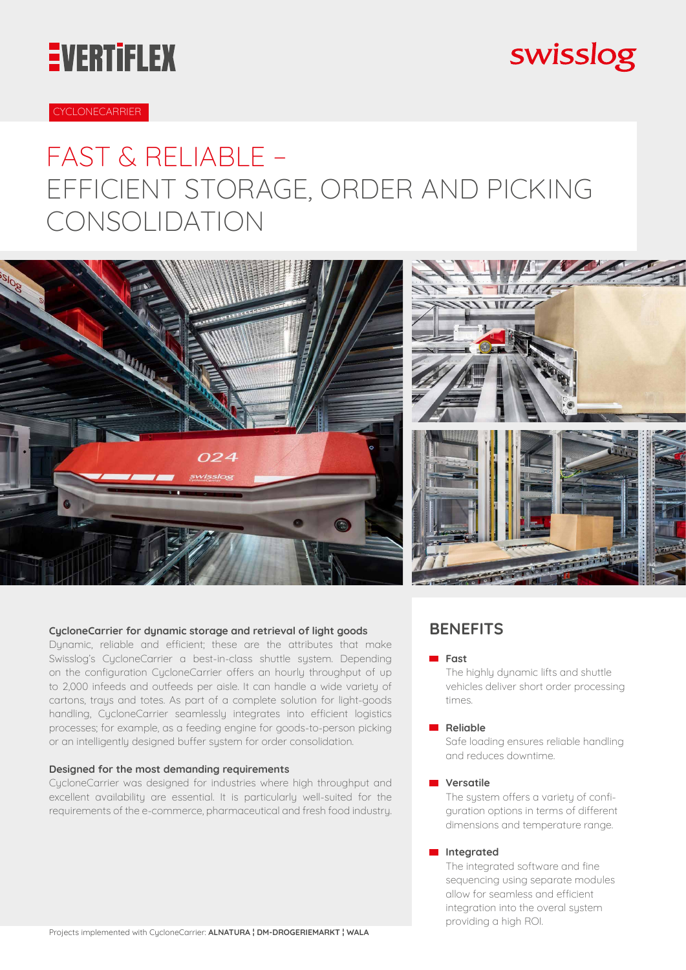# **EVERTIFLEX**

## swisslog

#### CYCLONECARRIER

## FAST & RELIABLE – EFFICIENT STORAGE, ORDER AND PICKING CONSOLIDATION



#### **CycloneCarrier for dynamic storage and retrieval of light goods**

Dynamic, reliable and efficient; these are the attributes that make Swisslog's CycloneCarrier a best-in-class shuttle system. Depending on the configuration CycloneCarrier offers an hourly throughput of up to 2,000 infeeds and outfeeds per aisle. It can handle a wide variety of cartons, trays and totes. As part of a complete solution for light-goods handling, CycloneCarrier seamlessly integrates into efficient logistics processes; for example, as a feeding engine for goods-to-person picking or an intelligently designed buffer system for order consolidation.

#### **Designed for the most demanding requirements**

CycloneCarrier was designed for industries where high throughput and excellent availability are essential. It is particularly well-suited for the requirements of the e-commerce, pharmaceutical and fresh food industry.

#### **BENEFITS**

#### **Fast**

The highly dynamic lifts and shuttle vehicles deliver short order processing times.

#### **Reliable**

Safe loading ensures reliable handling and reduces downtime.

#### **Versatile**

The system offers a variety of configuration options in terms of different dimensions and temperature range.

#### **Integrated**

The integrated software and fine sequencing using separate modules allow for seamless and efficient integration into the overal system providing a high ROI.

Projects implemented with CycloneCarrier: **ALNATURA ¦ DM-DROGERIEMARKT ¦ WALA**